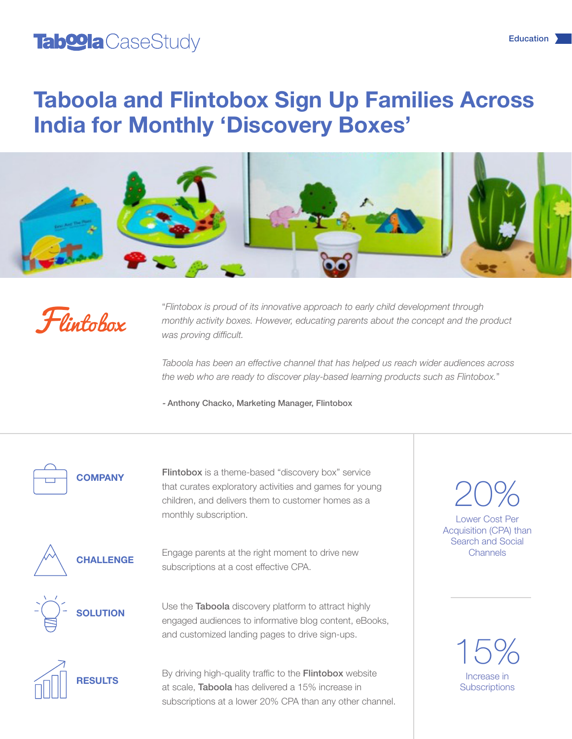### Tab**oola** CaseStudy

# Taboola and Flintobox Sign Up Families Across India for Monthly 'Discovery Boxes'





"*Flintobox is proud of its innovative approach to early child development through monthly activity boxes. However, educating parents about the concept and the product was proving difficult.*

*Taboola has been an effective channel that has helped us reach wider audiences across the web who are ready to discover play-based learning products such as Flintobox.*"

- Anthony Chacko, Marketing Manager, Flintobox

**COMPANY** 

Flintobox is a theme-based "discovery box" service that curates exploratory activities and games for young children, and delivers them to customer homes as a monthly subscription. Lower Cost Per



Engage parents at the right moment to drive new subscriptions at a cost effective CPA.



Use the Taboola discovery platform to attract highly engaged audiences to informative blog content, eBooks, and customized landing pages to drive sign-ups.



By driving high-quality traffic to the **Flintobox** website at scale, Taboola has delivered a 15% increase in subscriptions at a lower 20% CPA than any other channel. Acquisition (CPA) than Search and Social Channels 20%

> Increase in **Subscriptions** 15%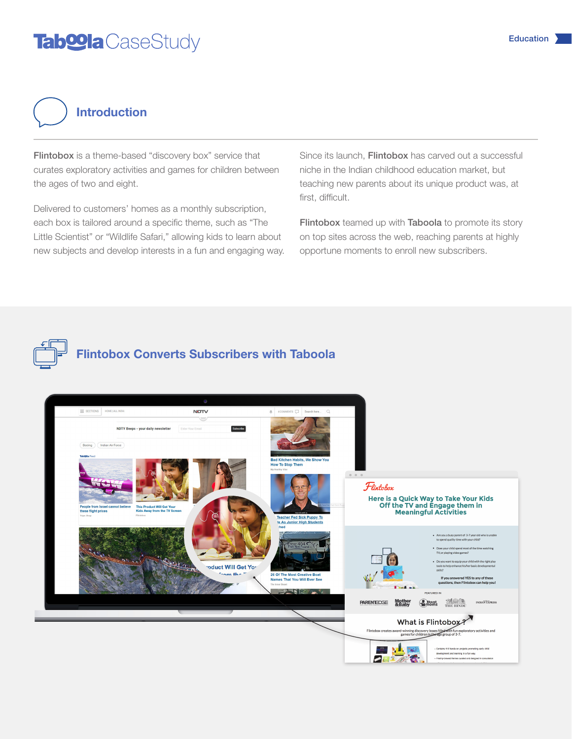### Tab**oola** CaseStudy



Flintobox is a theme-based "discovery box" service that curates exploratory activities and games for children between the ages of two and eight.

Delivered to customers' homes as a monthly subscription, each box is tailored around a specific theme, such as "The Little Scientist" or "Wildlife Safari," allowing kids to learn about new subjects and develop interests in a fun and engaging way. Since its launch. Flintobox has carved out a successful niche in the Indian childhood education market, but teaching new parents about its unique product was, at first, difficult.

Flintobox teamed up with Taboola to promote its story on top sites across the web, reaching parents at highly opportune moments to enroll new subscribers.



#### Flintobox Converts Subscribers with Taboola